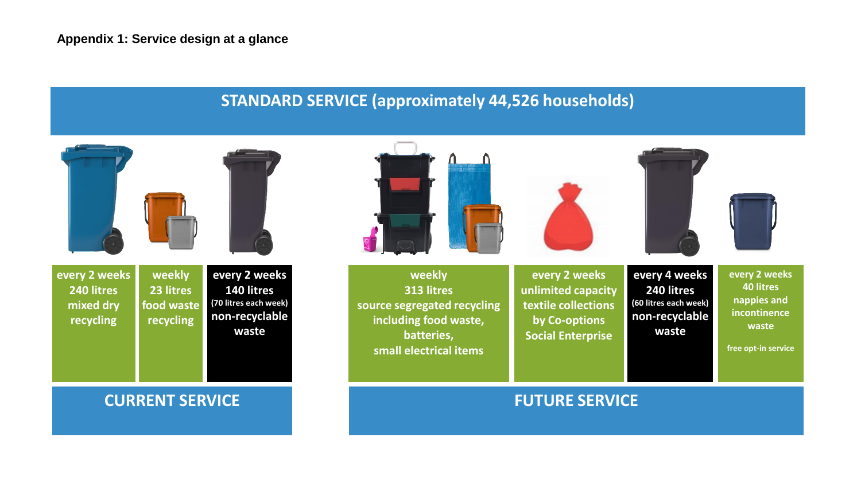## **STANDARD SERVICE (approximately 44,526 households)**

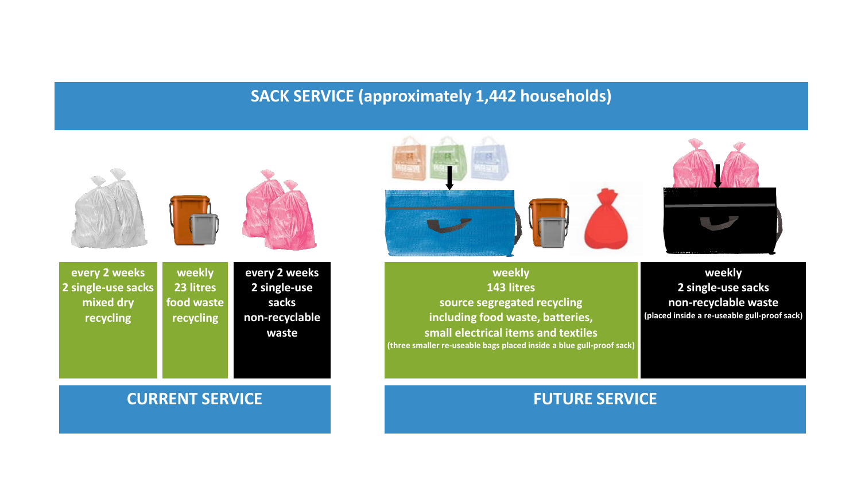# **SACK SERVICE (approximately 1,442 households)**



**weekly 23 litres**

**recycling**

**every 2 weeks 2 single-use sacks mixed dry recycling food waste** 

**every 2 weeks 2 single-use sacks non-recyclable waste**

### **weekly 143 litres source segregated recycling including food waste, batteries, small electrical items and textiles (three smaller re-useable bags placed inside a blue gull-proof sack)**



**weekly 2 single-use sacks non-recyclable waste (placed inside a re-useable gull-proof sack)**

## **CURRENT SERVICE THE RESERVICE OF A SERVICE SERVICE**